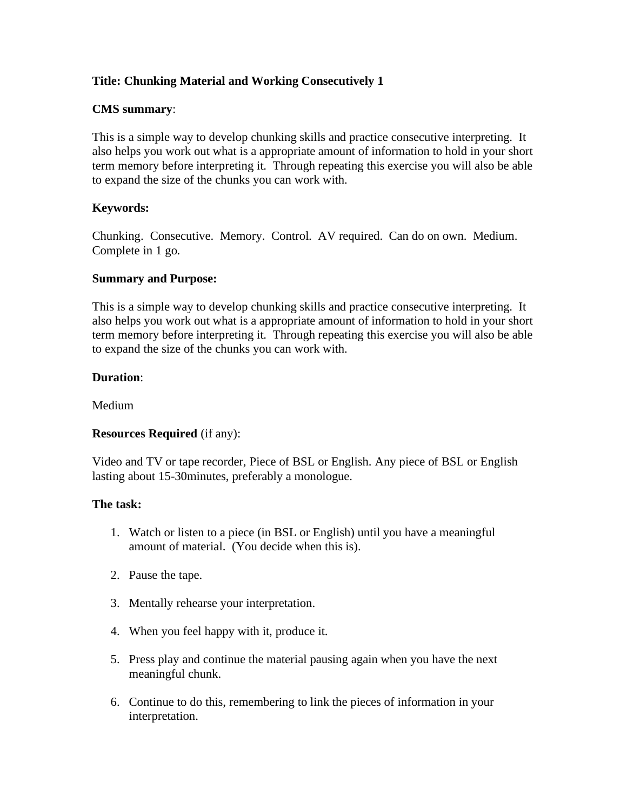# **Title: Chunking Material and Working Consecutively 1**

### **CMS summary**:

This is a simple way to develop chunking skills and practice consecutive interpreting. It also helps you work out what is a appropriate amount of information to hold in your short term memory before interpreting it. Through repeating this exercise you will also be able to expand the size of the chunks you can work with.

## **Keywords:**

Chunking. Consecutive. Memory. Control. AV required. Can do on own. Medium. Complete in 1 go.

#### **Summary and Purpose:**

This is a simple way to develop chunking skills and practice consecutive interpreting. It also helps you work out what is a appropriate amount of information to hold in your short term memory before interpreting it. Through repeating this exercise you will also be able to expand the size of the chunks you can work with.

#### **Duration**:

Medium

## **Resources Required** (if any):

Video and TV or tape recorder, Piece of BSL or English. Any piece of BSL or English lasting about 15-30minutes, preferably a monologue.

#### **The task:**

- 1. Watch or listen to a piece (in BSL or English) until you have a meaningful amount of material. (You decide when this is).
- 2. Pause the tape.
- 3. Mentally rehearse your interpretation.
- 4. When you feel happy with it, produce it.
- 5. Press play and continue the material pausing again when you have the next meaningful chunk.
- 6. Continue to do this, remembering to link the pieces of information in your interpretation.